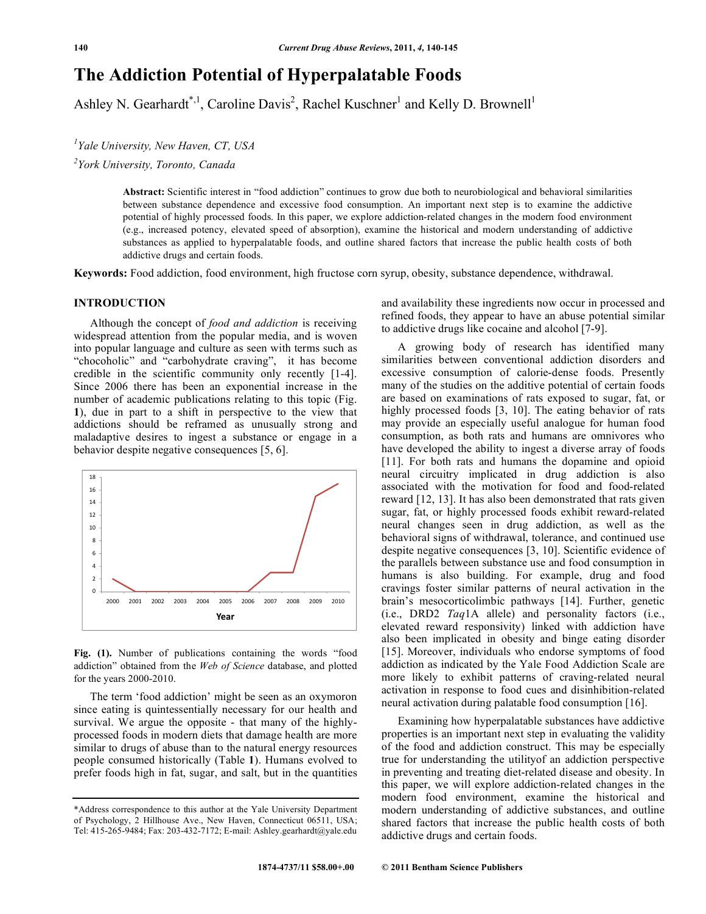# **The Addiction Potential of Hyperpalatable Foods**

Ashley N. Gearhardt\*<sup>1</sup>, Caroline Davis<sup>2</sup>, Rachel Kuschner<sup>1</sup> and Kelly D. Brownell<sup>1</sup>

*1 Yale University, New Haven, CT, USA* 

*2 York University, Toronto, Canada* 

**Abstract:** Scientific interest in "food addiction" continues to grow due both to neurobiological and behavioral similarities between substance dependence and excessive food consumption. An important next step is to examine the addictive potential of highly processed foods. In this paper, we explore addiction-related changes in the modern food environment (e.g., increased potency, elevated speed of absorption), examine the historical and modern understanding of addictive substances as applied to hyperpalatable foods, and outline shared factors that increase the public health costs of both addictive drugs and certain foods.

**Keywords:** Food addiction, food environment, high fructose corn syrup, obesity, substance dependence, withdrawal.

# **INTRODUCTION**

 Although the concept of *food and addiction* is receiving widespread attention from the popular media, and is woven into popular language and culture as seen with terms such as "chocoholic" and "carbohydrate craving", it has become credible in the scientific community only recently [1-4]. Since 2006 there has been an exponential increase in the number of academic publications relating to this topic (Fig. **1**), due in part to a shift in perspective to the view that addictions should be reframed as unusually strong and maladaptive desires to ingest a substance or engage in a behavior despite negative consequences [5, 6].



**Fig. (1).** Number of publications containing the words "food addiction" obtained from the *Web of Science* database, and plotted for the years 2000-2010.

 The term 'food addiction' might be seen as an oxymoron since eating is quintessentially necessary for our health and survival. We argue the opposite - that many of the highlyprocessed foods in modern diets that damage health are more similar to drugs of abuse than to the natural energy resources people consumed historically (Table **1**). Humans evolved to prefer foods high in fat, sugar, and salt, but in the quantities

and availability these ingredients now occur in processed and refined foods, they appear to have an abuse potential similar to addictive drugs like cocaine and alcohol [7-9].

 A growing body of research has identified many similarities between conventional addiction disorders and excessive consumption of calorie-dense foods. Presently many of the studies on the additive potential of certain foods are based on examinations of rats exposed to sugar, fat, or highly processed foods [3, 10]. The eating behavior of rats may provide an especially useful analogue for human food consumption, as both rats and humans are omnivores who have developed the ability to ingest a diverse array of foods [11]. For both rats and humans the dopamine and opioid neural circuitry implicated in drug addiction is also associated with the motivation for food and food-related reward [12, 13]. It has also been demonstrated that rats given sugar, fat, or highly processed foods exhibit reward-related neural changes seen in drug addiction, as well as the behavioral signs of withdrawal, tolerance, and continued use despite negative consequences [3, 10]. Scientific evidence of the parallels between substance use and food consumption in humans is also building. For example, drug and food cravings foster similar patterns of neural activation in the brain's mesocorticolimbic pathways [14]. Further, genetic (i.e., DRD2 *Taq*1A allele) and personality factors (i.e., elevated reward responsivity) linked with addiction have also been implicated in obesity and binge eating disorder [15]. Moreover, individuals who endorse symptoms of food addiction as indicated by the Yale Food Addiction Scale are more likely to exhibit patterns of craving-related neural activation in response to food cues and disinhibition-related neural activation during palatable food consumption [16].

 Examining how hyperpalatable substances have addictive properties is an important next step in evaluating the validity of the food and addiction construct. This may be especially true for understanding the utilityof an addiction perspective in preventing and treating diet-related disease and obesity. In this paper, we will explore addiction-related changes in the modern food environment, examine the historical and modern understanding of addictive substances, and outline shared factors that increase the public health costs of both addictive drugs and certain foods.

<sup>\*</sup>Address correspondence to this author at the Yale University Department of Psychology, 2 Hillhouse Ave., New Haven, Connecticut 06511, USA; Tel: 415-265-9484; Fax: 203-432-7172; E-mail: Ashley.gearhardt@yale.edu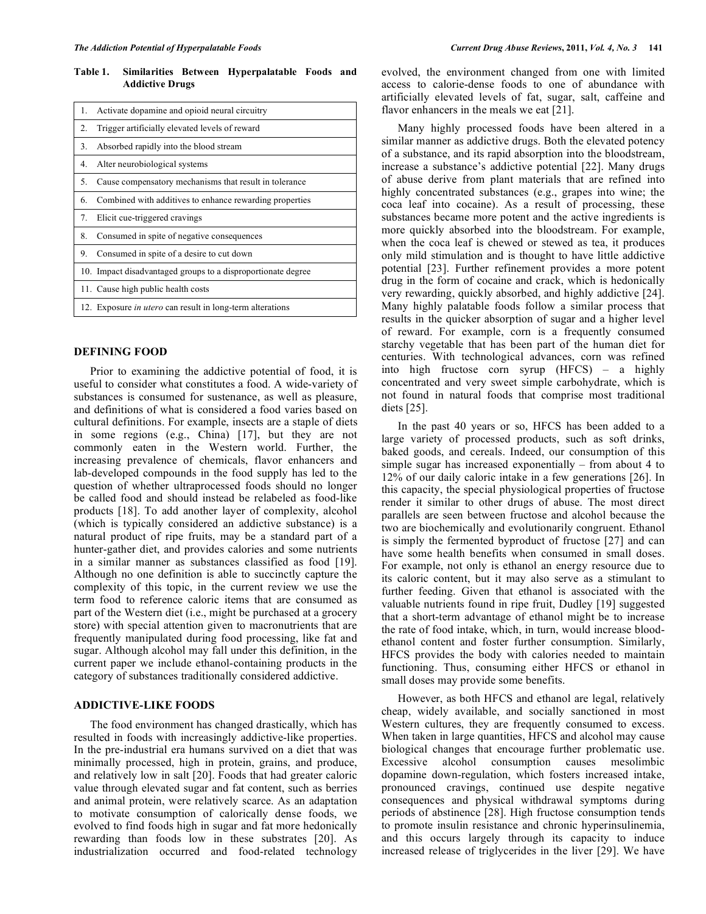**Table 1. Similarities Between Hyperpalatable Foods and Addictive Drugs** 

| 1.             | Activate dopamine and opioid neural circuitry                    |
|----------------|------------------------------------------------------------------|
| 2.             | Trigger artificially elevated levels of reward                   |
| 3 <sub>1</sub> | Absorbed rapidly into the blood stream                           |
| 4.             | Alter neurobiological systems                                    |
| 5.             | Cause compensatory mechanisms that result in tolerance           |
| 6.             | Combined with additives to enhance rewarding properties          |
| 7.             | Elicit cue-triggered cravings                                    |
| 8.             | Consumed in spite of negative consequences                       |
| 9.             | Consumed in spite of a desire to cut down                        |
|                | 10. Impact disadvantaged groups to a disproportionate degree     |
|                | 11. Cause high public health costs                               |
|                | 12. Exposure <i>in utero</i> can result in long-term alterations |

# **DEFINING FOOD**

 Prior to examining the addictive potential of food, it is useful to consider what constitutes a food. A wide-variety of substances is consumed for sustenance, as well as pleasure, and definitions of what is considered a food varies based on cultural definitions. For example, insects are a staple of diets in some regions (e.g., China) [17], but they are not commonly eaten in the Western world. Further, the increasing prevalence of chemicals, flavor enhancers and lab-developed compounds in the food supply has led to the question of whether ultraprocessed foods should no longer be called food and should instead be relabeled as food-like products [18]. To add another layer of complexity, alcohol (which is typically considered an addictive substance) is a natural product of ripe fruits, may be a standard part of a hunter-gather diet, and provides calories and some nutrients in a similar manner as substances classified as food [19]. Although no one definition is able to succinctly capture the complexity of this topic, in the current review we use the term food to reference caloric items that are consumed as part of the Western diet (i.e., might be purchased at a grocery store) with special attention given to macronutrients that are frequently manipulated during food processing, like fat and sugar. Although alcohol may fall under this definition, in the current paper we include ethanol-containing products in the category of substances traditionally considered addictive.

# **ADDICTIVE-LIKE FOODS**

 The food environment has changed drastically, which has resulted in foods with increasingly addictive-like properties. In the pre-industrial era humans survived on a diet that was minimally processed, high in protein, grains, and produce, and relatively low in salt [20]. Foods that had greater caloric value through elevated sugar and fat content, such as berries and animal protein, were relatively scarce. As an adaptation to motivate consumption of calorically dense foods, we evolved to find foods high in sugar and fat more hedonically rewarding than foods low in these substrates [20]. As industrialization occurred and food-related technology

evolved, the environment changed from one with limited access to calorie-dense foods to one of abundance with artificially elevated levels of fat, sugar, salt, caffeine and flavor enhancers in the meals we eat [21].

 Many highly processed foods have been altered in a similar manner as addictive drugs. Both the elevated potency of a substance, and its rapid absorption into the bloodstream, increase a substance's addictive potential [22]. Many drugs of abuse derive from plant materials that are refined into highly concentrated substances (e.g., grapes into wine; the coca leaf into cocaine). As a result of processing, these substances became more potent and the active ingredients is more quickly absorbed into the bloodstream. For example, when the coca leaf is chewed or stewed as tea, it produces only mild stimulation and is thought to have little addictive potential [23]. Further refinement provides a more potent drug in the form of cocaine and crack, which is hedonically very rewarding, quickly absorbed, and highly addictive [24]. Many highly palatable foods follow a similar process that results in the quicker absorption of sugar and a higher level of reward. For example, corn is a frequently consumed starchy vegetable that has been part of the human diet for centuries. With technological advances, corn was refined into high fructose corn syrup (HFCS) – a highly concentrated and very sweet simple carbohydrate, which is not found in natural foods that comprise most traditional diets [25].

 In the past 40 years or so, HFCS has been added to a large variety of processed products, such as soft drinks, baked goods, and cereals. Indeed, our consumption of this simple sugar has increased exponentially – from about 4 to 12% of our daily caloric intake in a few generations [26]. In this capacity, the special physiological properties of fructose render it similar to other drugs of abuse. The most direct parallels are seen between fructose and alcohol because the two are biochemically and evolutionarily congruent. Ethanol is simply the fermented byproduct of fructose [27] and can have some health benefits when consumed in small doses. For example, not only is ethanol an energy resource due to its caloric content, but it may also serve as a stimulant to further feeding. Given that ethanol is associated with the valuable nutrients found in ripe fruit, Dudley [19] suggested that a short-term advantage of ethanol might be to increase the rate of food intake, which, in turn, would increase bloodethanol content and foster further consumption. Similarly, HFCS provides the body with calories needed to maintain functioning. Thus, consuming either HFCS or ethanol in small doses may provide some benefits.

 However, as both HFCS and ethanol are legal, relatively cheap, widely available, and socially sanctioned in most Western cultures, they are frequently consumed to excess. When taken in large quantities, HFCS and alcohol may cause biological changes that encourage further problematic use. Excessive alcohol consumption causes mesolimbic dopamine down-regulation, which fosters increased intake, pronounced cravings, continued use despite negative consequences and physical withdrawal symptoms during periods of abstinence [28]. High fructose consumption tends to promote insulin resistance and chronic hyperinsulinemia, and this occurs largely through its capacity to induce increased release of triglycerides in the liver [29]. We have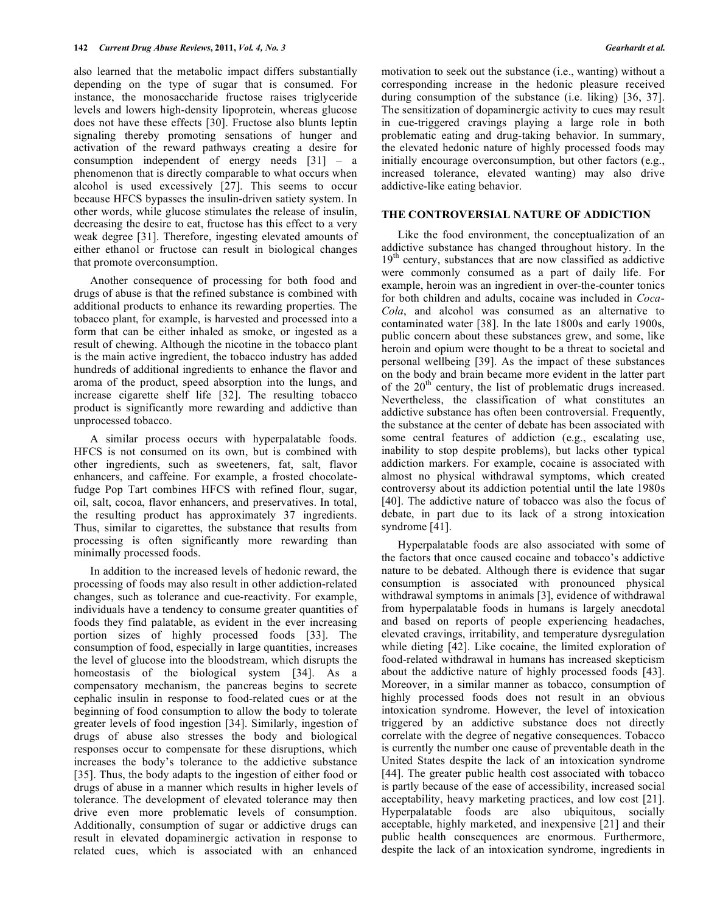also learned that the metabolic impact differs substantially depending on the type of sugar that is consumed. For instance, the monosaccharide fructose raises triglyceride levels and lowers high-density lipoprotein, whereas glucose does not have these effects [30]. Fructose also blunts leptin signaling thereby promoting sensations of hunger and activation of the reward pathways creating a desire for consumption independent of energy needs [31] – a phenomenon that is directly comparable to what occurs when alcohol is used excessively [27]. This seems to occur because HFCS bypasses the insulin-driven satiety system. In other words, while glucose stimulates the release of insulin, decreasing the desire to eat, fructose has this effect to a very weak degree [31]. Therefore, ingesting elevated amounts of either ethanol or fructose can result in biological changes that promote overconsumption.

 Another consequence of processing for both food and drugs of abuse is that the refined substance is combined with additional products to enhance its rewarding properties. The tobacco plant, for example, is harvested and processed into a form that can be either inhaled as smoke, or ingested as a result of chewing. Although the nicotine in the tobacco plant is the main active ingredient, the tobacco industry has added hundreds of additional ingredients to enhance the flavor and aroma of the product, speed absorption into the lungs, and increase cigarette shelf life [32]. The resulting tobacco product is significantly more rewarding and addictive than unprocessed tobacco.

 A similar process occurs with hyperpalatable foods. HFCS is not consumed on its own, but is combined with other ingredients, such as sweeteners, fat, salt, flavor enhancers, and caffeine. For example, a frosted chocolatefudge Pop Tart combines HFCS with refined flour, sugar, oil, salt, cocoa, flavor enhancers, and preservatives. In total, the resulting product has approximately 37 ingredients. Thus, similar to cigarettes, the substance that results from processing is often significantly more rewarding than minimally processed foods.

 In addition to the increased levels of hedonic reward, the processing of foods may also result in other addiction-related changes, such as tolerance and cue-reactivity. For example, individuals have a tendency to consume greater quantities of foods they find palatable, as evident in the ever increasing portion sizes of highly processed foods [33]. The consumption of food, especially in large quantities, increases the level of glucose into the bloodstream, which disrupts the homeostasis of the biological system [34]. As a compensatory mechanism, the pancreas begins to secrete cephalic insulin in response to food-related cues or at the beginning of food consumption to allow the body to tolerate greater levels of food ingestion [34]. Similarly, ingestion of drugs of abuse also stresses the body and biological responses occur to compensate for these disruptions, which increases the body's tolerance to the addictive substance [35]. Thus, the body adapts to the ingestion of either food or drugs of abuse in a manner which results in higher levels of tolerance. The development of elevated tolerance may then drive even more problematic levels of consumption. Additionally, consumption of sugar or addictive drugs can result in elevated dopaminergic activation in response to related cues, which is associated with an enhanced

motivation to seek out the substance (i.e., wanting) without a corresponding increase in the hedonic pleasure received during consumption of the substance (i.e. liking) [36, 37]. The sensitization of dopaminergic activity to cues may result in cue-triggered cravings playing a large role in both problematic eating and drug-taking behavior. In summary, the elevated hedonic nature of highly processed foods may initially encourage overconsumption, but other factors (e.g., increased tolerance, elevated wanting) may also drive addictive-like eating behavior.

# **THE CONTROVERSIAL NATURE OF ADDICTION**

 Like the food environment, the conceptualization of an addictive substance has changed throughout history. In the  $19<sup>th</sup>$  century, substances that are now classified as addictive were commonly consumed as a part of daily life. For example, heroin was an ingredient in over-the-counter tonics for both children and adults, cocaine was included in *Coca-Cola*, and alcohol was consumed as an alternative to contaminated water [38]. In the late 1800s and early 1900s, public concern about these substances grew, and some, like heroin and opium were thought to be a threat to societal and personal wellbeing [39]. As the impact of these substances on the body and brain became more evident in the latter part of the  $20<sup>th</sup>$  century, the list of problematic drugs increased. Nevertheless, the classification of what constitutes an addictive substance has often been controversial. Frequently, the substance at the center of debate has been associated with some central features of addiction (e.g., escalating use, inability to stop despite problems), but lacks other typical addiction markers. For example, cocaine is associated with almost no physical withdrawal symptoms, which created controversy about its addiction potential until the late 1980s [40]. The addictive nature of tobacco was also the focus of debate, in part due to its lack of a strong intoxication syndrome [41].

 Hyperpalatable foods are also associated with some of the factors that once caused cocaine and tobacco's addictive nature to be debated. Although there is evidence that sugar consumption is associated with pronounced physical withdrawal symptoms in animals [3], evidence of withdrawal from hyperpalatable foods in humans is largely anecdotal and based on reports of people experiencing headaches, elevated cravings, irritability, and temperature dysregulation while dieting [42]. Like cocaine, the limited exploration of food-related withdrawal in humans has increased skepticism about the addictive nature of highly processed foods [43]. Moreover, in a similar manner as tobacco, consumption of highly processed foods does not result in an obvious intoxication syndrome. However, the level of intoxication triggered by an addictive substance does not directly correlate with the degree of negative consequences. Tobacco is currently the number one cause of preventable death in the United States despite the lack of an intoxication syndrome [44]. The greater public health cost associated with tobacco is partly because of the ease of accessibility, increased social acceptability, heavy marketing practices, and low cost [21]. Hyperpalatable foods are also ubiquitous, socially acceptable, highly marketed, and inexpensive [21] and their public health consequences are enormous. Furthermore, despite the lack of an intoxication syndrome, ingredients in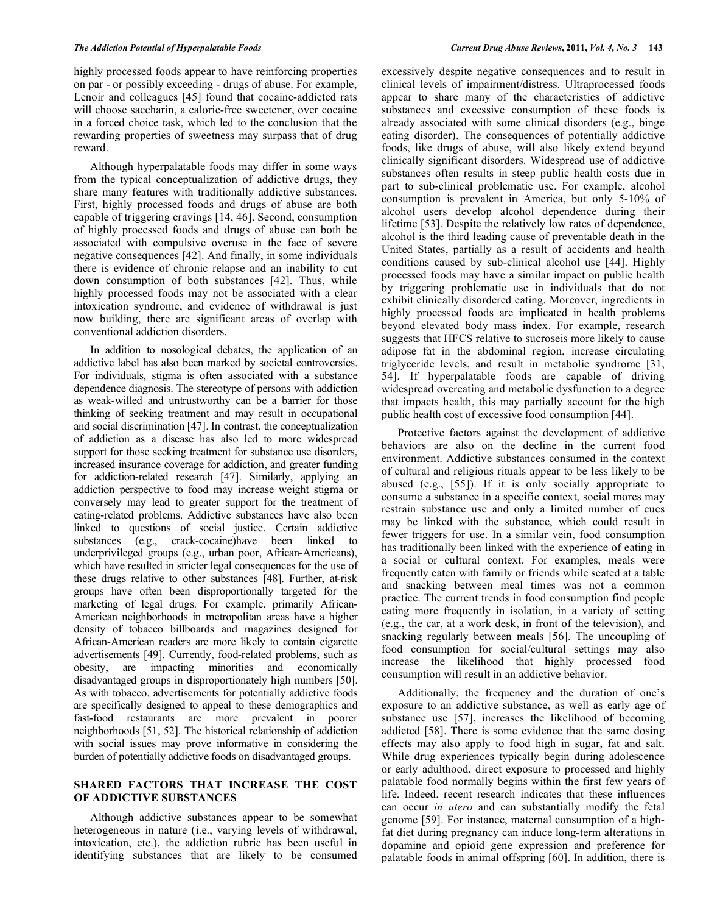highly processed foods appear to have reinforcing properties on par - or possibly exceeding - drugs of abuse. For example, Lenoir and colleagues [45] found that cocaine-addicted rats will choose saccharin, a calorie-free sweetener, over cocaine in a forced choice task, which led to the conclusion that the rewarding properties of sweetness may surpass that of drug reward.

 Although hyperpalatable foods may differ in some ways from the typical conceptualization of addictive drugs, they share many features with traditionally addictive substances. First, highly processed foods and drugs of abuse are both capable of triggering cravings [14, 46]. Second, consumption of highly processed foods and drugs of abuse can both be associated with compulsive overuse in the face of severe negative consequences [42]. And finally, in some individuals there is evidence of chronic relapse and an inability to cut down consumption of both substances [42]. Thus, while highly processed foods may not be associated with a clear intoxication syndrome, and evidence of withdrawal is just now building, there are significant areas of overlap with conventional addiction disorders.

 In addition to nosological debates, the application of an addictive label has also been marked by societal controversies. For individuals, stigma is often associated with a substance dependence diagnosis. The stereotype of persons with addiction as weak-willed and untrustworthy can be a barrier for those thinking of seeking treatment and may result in occupational and social discrimination [47]. In contrast, the conceptualization of addiction as a disease has also led to more widespread support for those seeking treatment for substance use disorders, increased insurance coverage for addiction, and greater funding for addiction-related research [47]. Similarly, applying an addiction perspective to food may increase weight stigma or conversely may lead to greater support for the treatment of eating-related problems. Addictive substances have also been linked to questions of social justice. Certain addictive substances (e.g., crack-cocaine)have been linked to underprivileged groups (e.g., urban poor, African-Americans), which have resulted in stricter legal consequences for the use of these drugs relative to other substances [48]. Further, at-risk groups have often been disproportionally targeted for the marketing of legal drugs. For example, primarily African-American neighborhoods in metropolitan areas have a higher density of tobacco billboards and magazines designed for African-American readers are more likely to contain cigarette advertisements [49]. Currently, food-related problems, such as obesity, are impacting minorities and economically disadvantaged groups in disproportionately high numbers [50]. As with tobacco, advertisements for potentially addictive foods are specifically designed to appeal to these demographics and fast-food restaurants are more prevalent in poorer neighborhoods [51, 52]. The historical relationship of addiction with social issues may prove informative in considering the burden of potentially addictive foods on disadvantaged groups.

# **SHARED FACTORS THAT INCREASE THE COST OF ADDICTIVE SUBSTANCES**

 Although addictive substances appear to be somewhat heterogeneous in nature (i.e., varying levels of withdrawal, intoxication, etc.), the addiction rubric has been useful in identifying substances that are likely to be consumed

excessively despite negative consequences and to result in clinical levels of impairment/distress. Ultraprocessed foods appear to share many of the characteristics of addictive substances and excessive consumption of these foods is already associated with some clinical disorders (e.g., binge eating disorder). The consequences of potentially addictive foods, like drugs of abuse, will also likely extend beyond clinically significant disorders. Widespread use of addictive substances often results in steep public health costs due in part to sub-clinical problematic use. For example, alcohol consumption is prevalent in America, but only 5-10% of alcohol users develop alcohol dependence during their lifetime [53]. Despite the relatively low rates of dependence, alcohol is the third leading cause of preventable death in the United States, partially as a result of accidents and health conditions caused by sub-clinical alcohol use [44]. Highly processed foods may have a similar impact on public health by triggering problematic use in individuals that do not exhibit clinically disordered eating. Moreover, ingredients in highly processed foods are implicated in health problems beyond elevated body mass index. For example, research suggests that HFCS relative to sucroseis more likely to cause adipose fat in the abdominal region, increase circulating triglyceride levels, and result in metabolic syndrome [31, 54]. If hyperpalatable foods are capable of driving widespread overeating and metabolic dysfunction to a degree that impacts health, this may partially account for the high public health cost of excessive food consumption [44].

 Protective factors against the development of addictive behaviors are also on the decline in the current food environment. Addictive substances consumed in the context of cultural and religious rituals appear to be less likely to be abused (e.g., [55]). If it is only socially appropriate to consume a substance in a specific context, social mores may restrain substance use and only a limited number of cues may be linked with the substance, which could result in fewer triggers for use. In a similar vein, food consumption has traditionally been linked with the experience of eating in a social or cultural context. For examples, meals were frequently eaten with family or friends while seated at a table and snacking between meal times was not a common practice. The current trends in food consumption find people eating more frequently in isolation, in a variety of setting (e.g., the car, at a work desk, in front of the television), and snacking regularly between meals [56]. The uncoupling of food consumption for social/cultural settings may also increase the likelihood that highly processed food consumption will result in an addictive behavior.

 Additionally, the frequency and the duration of one's exposure to an addictive substance, as well as early age of substance use [57], increases the likelihood of becoming addicted [58]. There is some evidence that the same dosing effects may also apply to food high in sugar, fat and salt. While drug experiences typically begin during adolescence or early adulthood, direct exposure to processed and highly palatable food normally begins within the first few years of life. Indeed, recent research indicates that these influences can occur *in utero* and can substantially modify the fetal genome [59]. For instance, maternal consumption of a highfat diet during pregnancy can induce long-term alterations in dopamine and opioid gene expression and preference for palatable foods in animal offspring [60]. In addition, there is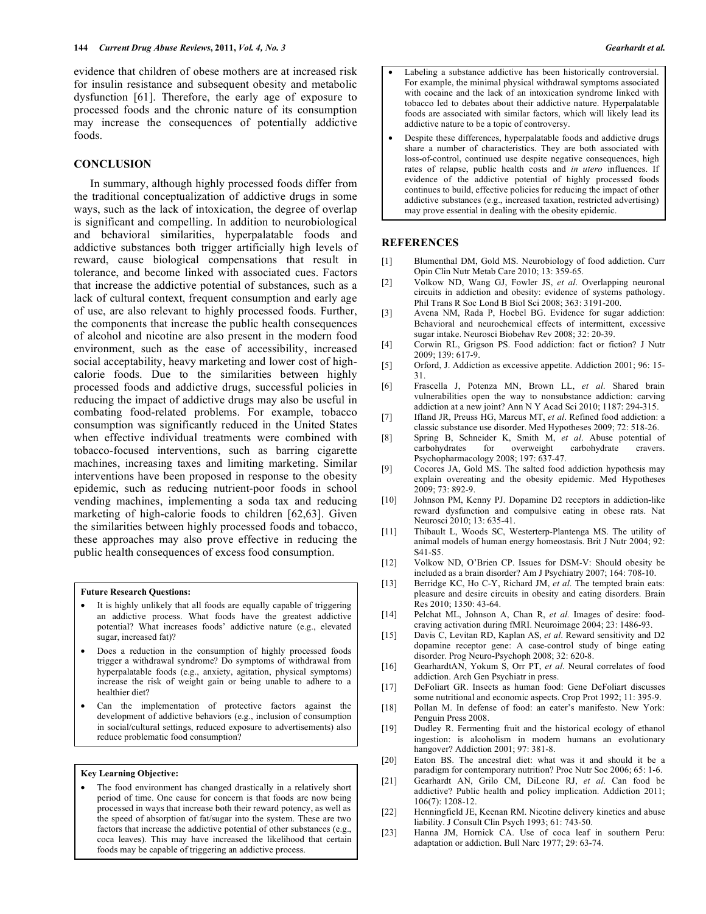evidence that children of obese mothers are at increased risk for insulin resistance and subsequent obesity and metabolic dysfunction [61]. Therefore, the early age of exposure to processed foods and the chronic nature of its consumption may increase the consequences of potentially addictive foods.

#### **CONCLUSION**

 In summary, although highly processed foods differ from the traditional conceptualization of addictive drugs in some ways, such as the lack of intoxication, the degree of overlap is significant and compelling. In addition to neurobiological and behavioral similarities, hyperpalatable foods and addictive substances both trigger artificially high levels of reward, cause biological compensations that result in tolerance, and become linked with associated cues. Factors that increase the addictive potential of substances, such as a lack of cultural context, frequent consumption and early age of use, are also relevant to highly processed foods. Further, the components that increase the public health consequences of alcohol and nicotine are also present in the modern food environment, such as the ease of accessibility, increased social acceptability, heavy marketing and lower cost of highcalorie foods. Due to the similarities between highly processed foods and addictive drugs, successful policies in reducing the impact of addictive drugs may also be useful in combating food-related problems. For example, tobacco consumption was significantly reduced in the United States when effective individual treatments were combined with tobacco-focused interventions, such as barring cigarette machines, increasing taxes and limiting marketing. Similar interventions have been proposed in response to the obesity epidemic, such as reducing nutrient-poor foods in school vending machines, implementing a soda tax and reducing marketing of high-calorie foods to children [62,63]. Given the similarities between highly processed foods and tobacco, these approaches may also prove effective in reducing the public health consequences of excess food consumption.

#### **Future Research Questions:**

- It is highly unlikely that all foods are equally capable of triggering an addictive process. What foods have the greatest addictive potential? What increases foods' addictive nature (e.g., elevated sugar, increased fat)?
- Does a reduction in the consumption of highly processed foods trigger a withdrawal syndrome? Do symptoms of withdrawal from hyperpalatable foods (e.g., anxiety, agitation, physical symptoms) increase the risk of weight gain or being unable to adhere to a healthier diet?
- Can the implementation of protective factors against the development of addictive behaviors (e.g., inclusion of consumption in social/cultural settings, reduced exposure to advertisements) also reduce problematic food consumption?

### **Key Learning Objective:**

The food environment has changed drastically in a relatively short period of time. One cause for concern is that foods are now being processed in ways that increase both their reward potency, as well as the speed of absorption of fat/sugar into the system. These are two factors that increase the addictive potential of other substances (e.g., coca leaves). This may have increased the likelihood that certain foods may be capable of triggering an addictive process.

- Labeling a substance addictive has been historically controversial. For example, the minimal physical withdrawal symptoms associated with cocaine and the lack of an intoxication syndrome linked with tobacco led to debates about their addictive nature. Hyperpalatable foods are associated with similar factors, which will likely lead its addictive nature to be a topic of controversy.
- Despite these differences, hyperpalatable foods and addictive drugs share a number of characteristics. They are both associated with loss-of-control, continued use despite negative consequences, high rates of relapse, public health costs and *in utero* influences. If evidence of the addictive potential of highly processed foods continues to build, effective policies for reducing the impact of other addictive substances (e.g., increased taxation, restricted advertising) may prove essential in dealing with the obesity epidemic.

#### **REFERENCES**

- [1] Blumenthal DM, Gold MS. Neurobiology of food addiction. Curr Opin Clin Nutr Metab Care 2010; 13: 359-65.
- [2] Volkow ND, Wang GJ, Fowler JS, *et al*. Overlapping neuronal circuits in addiction and obesity: evidence of systems pathology. Phil Trans R Soc Lond B Biol Sci 2008; 363: 3191-200.
- [3] Avena NM, Rada P, Hoebel BG. Evidence for sugar addiction: Behavioral and neurochemical effects of intermittent, excessive sugar intake. Neurosci Biobehav Rev 2008; 32: 20-39.
- [4] Corwin RL, Grigson PS. Food addiction: fact or fiction? J Nutr 2009; 139: 617-9.
- [5] Orford, J. Addiction as excessive appetite. Addiction 2001; 96: 15- 31.
- [6] Frascella J, Potenza MN, Brown LL, *et al*. Shared brain vulnerabilities open the way to nonsubstance addiction: carving addiction at a new joint? Ann N Y Acad Sci 2010; 1187: 294-315.
- [7] Ifland JR, Preuss HG, Marcus MT, *et al*. Refined food addiction: a classic substance use disorder. Med Hypotheses 2009; 72: 518-26.
- [8] Spring B, Schneider K, Smith M, *et al*. Abuse potential of carbohydrates for overweight carbohydrate cravers. Psychopharmacology 2008; 197: 637-47.
- [9] Cocores JA, Gold MS. The salted food addiction hypothesis may explain overeating and the obesity epidemic. Med Hypotheses 2009; 73: 892-9.
- [10] Johnson PM, Kenny PJ. Dopamine D2 receptors in addiction-like reward dysfunction and compulsive eating in obese rats. Nat Neurosci 2010; 13: 635-41.
- [11] Thibault L, Woods SC, Westerterp-Plantenga MS. The utility of animal models of human energy homeostasis. Brit J Nutr 2004; 92: S41-S5.
- [12] Volkow ND, O'Brien CP. Issues for DSM-V: Should obesity be included as a brain disorder? Am J Psychiatry 2007; 164: 708-10.
- [13] Berridge KC, Ho C-Y, Richard JM, et al. The tempted brain eats: pleasure and desire circuits in obesity and eating disorders. Brain Res 2010; 1350: 43-64.
- [14] Pelchat ML, Johnson A, Chan R, *et al.* Images of desire: foodcraving activation during fMRI. Neuroimage 2004; 23: 1486-93.
- [15] Davis C, Levitan RD, Kaplan AS, *et al*. Reward sensitivity and D2 dopamine receptor gene: A case-control study of binge eating disorder. Prog Neuro-Psychoph 2008; 32: 620-8.
- [16] GearhardtAN, Yokum S, Orr PT, *et al*. Neural correlates of food addiction. Arch Gen Psychiatr in press.
- [17] DeFoliart GR. Insects as human food: Gene DeFoliart discusses some nutritional and economic aspects. Crop Prot 1992; 11: 395-9.
- [18] Pollan M. In defense of food: an eater's manifesto. New York: Penguin Press 2008.
- [19] Dudley R. Fermenting fruit and the historical ecology of ethanol ingestion: is alcoholism in modern humans an evolutionary hangover? Addiction 2001; 97: 381-8.
- [20] Eaton BS. The ancestral diet: what was it and should it be a paradigm for contemporary nutrition? Proc Nutr Soc 2006; 65: 1-6.
- [21] Gearhardt AN, Grilo CM, DiLeone RJ, *et al*. Can food be addictive? Public health and policy implication. Addiction 2011; 106(7): 1208-12.
- [22] Henningfield JE, Keenan RM. Nicotine delivery kinetics and abuse liability. J Consult Clin Psych 1993; 61: 743-50.
- [23] Hanna JM, Hornick CA. Use of coca leaf in southern Peru: adaptation or addiction. Bull Narc 1977; 29: 63-74.